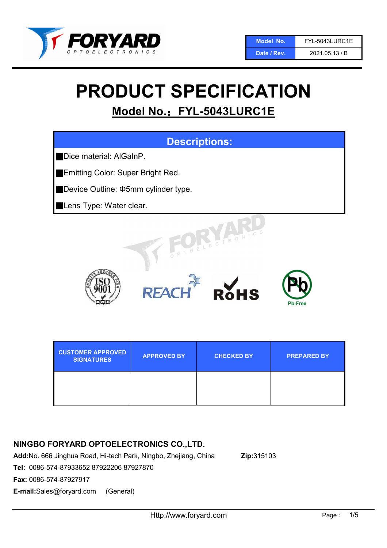

Date / Rev. 2021.05.13 / B

# PRODUCT SPECIFICATION

## Model No.: FYL-5043LURC1E



| <b>CUSTOMER APPROVED</b><br><b>SIGNATURES</b> | <b>APPROVED BY</b> | <b>CHECKED BY</b> | <b>PREPARED BY</b> |
|-----------------------------------------------|--------------------|-------------------|--------------------|
|                                               |                    |                   |                    |

## NINGBO FORYARD OPTOELECTRONICS CO.,LTD.

Add:No. 666 Jinghua Road, Hi-tech Park, Ningbo, Zhejiang, China Zip:315103

Tel: 0086-574-87933652 87922206 87927870

Fax: 0086-574-87927917

E-mail:Sales@foryard.com (General)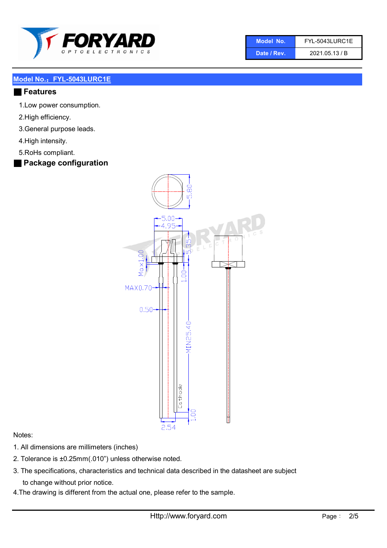

| Model No. | FYL-5043LURC1E |
|-----------|----------------|
|           |                |

Date / Rev. 2021.05.13 / B

#### Model No.: FYL-5043LURC1E

#### ■ Features

- 1.Low power consumption.
- 2.High efficiency.
- 3.General purpose leads.
- 4.High intensity.
- 5.RoHs compliant.
- Package configuration



#### Notes:

- 1. All dimensions are millimeters (inches)
- 2. Tolerance is ±0.25mm(.010") unless otherwise noted.
- 3. The specifications, characteristics and technical data described in the datasheet are subject to change without prior notice.
- 4.The drawing is different from the actual one, please refer to the sample.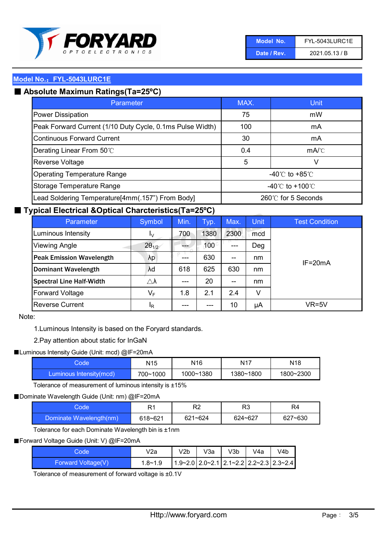

| Model No.   | FYL-5043LURC1E |
|-------------|----------------|
| Date / Rev. | 2021.05.13 / B |

#### Model No.: FYL-5043LURC1E

## ■ Absolute Maximun Ratings(Ta=25°C)

| Parameter                                                 | MAX.                               | Unit                                 |
|-----------------------------------------------------------|------------------------------------|--------------------------------------|
| <b>Power Dissipation</b>                                  | 75                                 | mW                                   |
| Peak Forward Current (1/10 Duty Cycle, 0.1ms Pulse Width) | 100                                | mA                                   |
| <b>Continuous Forward Current</b>                         | 30                                 | mA                                   |
| Derating Linear From 50°C                                 | 0.4                                | $mA$ <sup><math>\circ</math></sup> C |
| Reverse Voltage                                           | 5                                  | V                                    |
| <b>Operating Temperature Range</b>                        | -40 $\degree$ C to +85 $\degree$ C |                                      |
| Storage Temperature Range                                 | -40°C to +100°C                    |                                      |
| Lead Soldering Temperature[4mm(.157") From Body]          | 260℃ for 5 Seconds                 |                                      |

### ■ Typical Electrical &Optical Charcteristics(Ta=25°C)

| Parameter                       | Symbol              | Min. | Typ. | Max.  | <b>Unit</b> | <b>Test Condition</b> |
|---------------------------------|---------------------|------|------|-------|-------------|-----------------------|
| Luminous Intensity              | Ιv                  | 700  | 1380 | 2300  | mcd         |                       |
| <b>Viewing Angle</b>            | $2\theta_{1/2}$     |      | 100  | $---$ | Deg         |                       |
| <b>Peak Emission Wavelength</b> | λp                  | ---  | 630  | $- -$ | nm          | $IF = 20mA$           |
| <b>Dominant Wavelength</b>      | λd                  | 618  | 625  | 630   | nm          |                       |
| <b>Spectral Line Half-Width</b> | $\triangle \lambda$ | ---  | 20   | $- -$ | nm          |                       |
| <b>Forward Voltage</b>          | $V_F$               | 1.8  | 2.1  | 2.4   | v           |                       |
| <b>Reverse Current</b>          | <sup>I</sup> R      | ---  | ---  | 10    | μA          | VR=5V                 |

#### Note:

1.Luminous Intensity is based on the Foryard standards.

2.Pay attention about static for InGaN

■ Luminous Intensity Guide (Unit: mcd) @IF=20mA

| code.                   | N <sub>15</sub> | N16       | N17       | N <sub>18</sub> |
|-------------------------|-----------------|-----------|-----------|-----------------|
| Luminous Intensity(mcd) | 700~1000        | 1000~1380 | 1380~1800 | 1800~2300       |

Tolerance of measurement of luminous intensity is ±15%

■ Dominate Wavelength Guide (Unit: nm) @IF=20mA

| Code                    | R1      | R2          | מם<br>טרו | R4      |
|-------------------------|---------|-------------|-----------|---------|
| Dominate Wavelength(nm) | 618~621 | $621 - 624$ | 624~627   | 627~630 |

Tolerance for each Dominate Wavelength bin is ±1nm

■ Forward Voltage Guide (Unit: V) @IF=20mA

| Code               | V2a         | V2b | V3a | V3b | V4a | V4b                                                                 |
|--------------------|-------------|-----|-----|-----|-----|---------------------------------------------------------------------|
| Forward Voltage(V) | $1.8 - 1.9$ |     |     |     |     | $1.9 - 2.0$   2.0 $- 2.1$   2.1 $- 2.2$   2.2 $- 2.3$   2.3 $- 2.4$ |

Tolerance of measurement of forward voltage is ±0.1V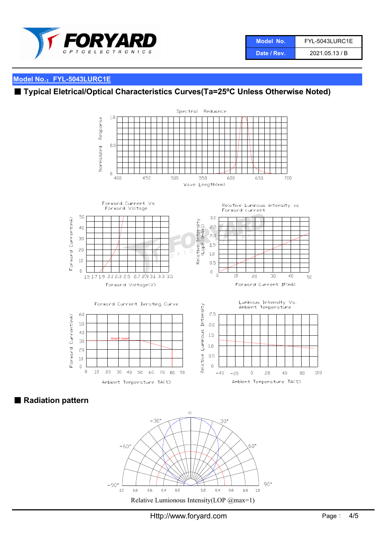

## Model No.: FYL-5043LURC1E

## ■ Typical Eletrical/Optical Characteristics Curves(Ta=25°C Unless Otherwise Noted)



■ Radiation pattern